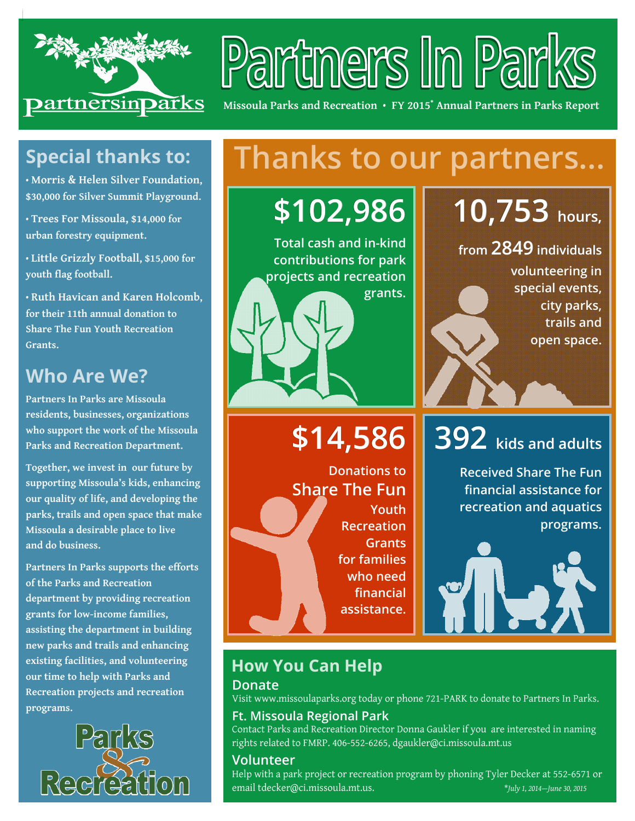

# Partners In Park

**Missoula Parks and Recreation** • **FY 2015\* Annual Partners in Parks Report** 

### **Special thanks to:**

**• Morris & Helen Silver Foundation, \$30,000 for Silver Summit Playground.** 

**• Trees For Missoula, \$14,000 for urban forestry equipment.** 

**• Little Grizzly Football, \$15,000 for youth flag football.** 

**• Ruth Havican and Karen Holcomb, for their 11th annual donation to Share The Fun Youth Recreation Grants.** 

### **Who Are We?**

**Partners In Parks are Missoula residents, businesses, organizations who support the work of the Missoula Parks and Recreation Department.** 

**Together, we invest in our future by supporting Missoula's kids, enhancing our quality of life, and developing the parks, trails and open space that make Missoula a desirable place to live and do business.** 

**Partners In Parks supports the efforts of the Parks and Recreation department by providing recreation grants for low-income families, assisting the department in building new parks and trails and enhancing existing facilities, and volunteering our time to help with Parks and Recreation projects and recreation programs.** 



# **Thanks to our partners...**

**\$102,986**

**Total cash and in-kind contributions for park projects and recreation grants.** 

# **\$14,586**

**Donations to Share The Fun Youth Recreation Grants for families who need financial assistance.**

# **10,753 hours,**

**from 2849 individuals individuals** 

**volunteering in special events, city parks, trails and open space.** 

# **392 kids and adults and adults**

**Received Share The Fun financial assistance for recreation and aquatics programs.** 



#### **How You Can Help Donate**

Visit www.missoulaparks.org today or phone 721-PARK to donate to Partners In Parks.

#### **Ft. Missoula Regional Park**

Contact Parks and Recreation Director Donna Gaukler if you are interested in naming rights related to FMRP. 406-552-6265, dgaukler@ci.missoula.mt.us

#### **Volunteer**

Help with a park project or recreation program by phoning Tyler Decker at 552-6571 or email tdecker@ci.missoula.mt.us. \**July 1, 2014—June 30, 2015*